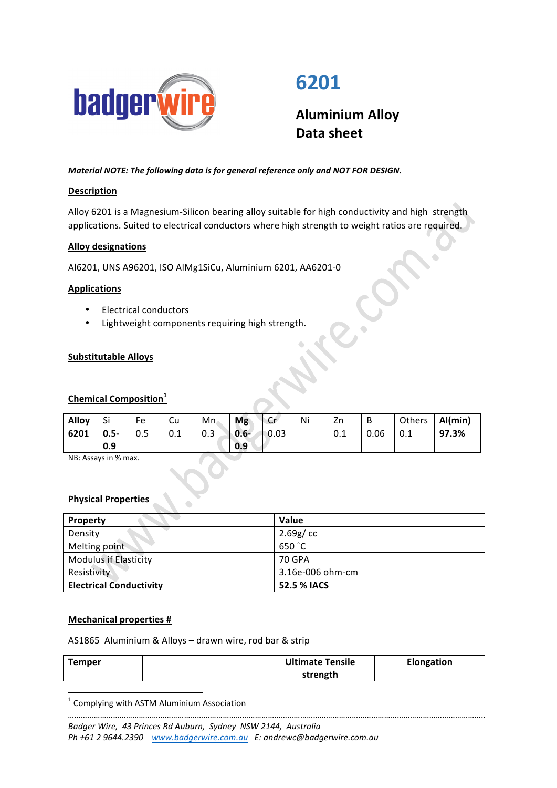

# **6201**

**Aluminium Alloy Data sheet**

*Material NOTE: The following data is for general reference only and NOT FOR DESIGN.* 

# **Description**

Alloy 6201 is a Magnesium-Silicon bearing alloy suitable for high conductivity and high strength applications. Suited to electrical conductors where high strength to weight ratios are required.

## **Alloy designations**

Al6201, UNS A96201, ISO AlMg1SiCu, Aluminium 6201, AA6201-0

## **Applications**

- Electrical conductors
- Lightweight components requiring high strength.

## **Substitutable Alloys**

## **Chemical Composition<sup>1</sup>**

| Alloy | Si             | Fe  | Cu  | Mn  | <b>Mg</b>        | cr           | Ni | Zn                |      | Others | Al(min) |
|-------|----------------|-----|-----|-----|------------------|--------------|----|-------------------|------|--------|---------|
| 6201  | $0.5 -$<br>0.9 | 0.5 | 0.1 | 0.3 | $  0.6 -$<br>0.9 | $\big  0.03$ |    | $\Omega$ 1<br>U.I | 0.06 | 0.1    | 97.3%   |

NB: Assays in % max.

#### **Physical Properties**

| Property                       | <b>Value</b>     |  |  |
|--------------------------------|------------------|--|--|
| Density                        | 2.69g/cc         |  |  |
| Melting point                  | 650 °C           |  |  |
| <b>Modulus if Elasticity</b>   | 70 GPA           |  |  |
| Resistivity                    | 3.16e-006 ohm-cm |  |  |
| <b>Electrical Conductivity</b> | 52.5 % IACS      |  |  |

#### **Mechanical properties #**

AS1865 Aluminium & Alloys - drawn wire, rod bar & strip

| Temper | <b>Ultimate Tensile</b> | Elongation |  |  |
|--------|-------------------------|------------|--|--|
|        | strength                |            |  |  |

 $1$  Complying with ASTM Aluminium Association

<u> 1989 - Jan Samuel Barbara, político establecido de la provincia de la provincia de la provincia de la provinci</u>